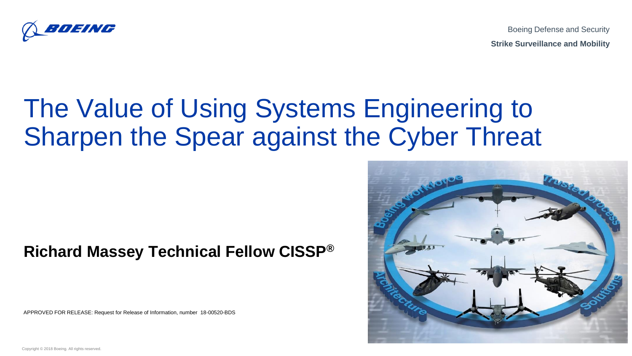

Boeing Defense and Security **Strike Surveillance and Mobility**

# The Value of Using Systems Engineering to Sharpen the Spear against the Cyber Threat

#### **Richard Massey Technical Fellow CISSP®**

APPROVED FOR RELEASE: Request for Release of Information, number 18-00520-BDS



Copyright © 2018 Boeing. All rights reserved.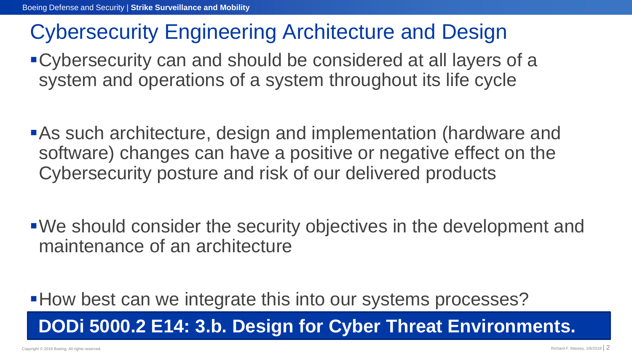#### Cybersecurity Engineering Architecture and Design

- ▪Cybersecurity can and should be considered at all layers of a system and operations of a system throughout its life cycle
- **BAs such architecture, design and implementation (hardware and** software) changes can have a positive or negative effect on the Cybersecurity posture and risk of our delivered products
- ■We should consider the security objectives in the development and maintenance of an architecture

■ How best can we integrate this into our systems processes? **DODi 5000.2 E14: 3.b. Design for Cyber Threat Environments.**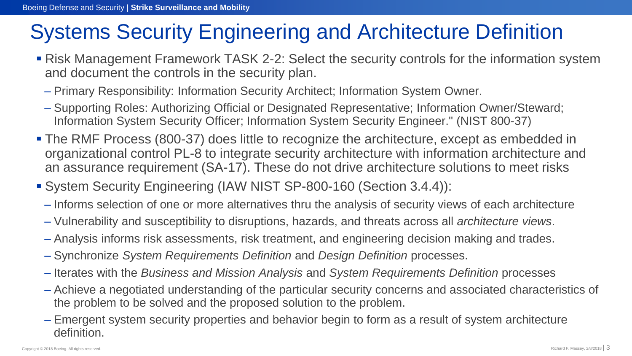### Systems Security Engineering and Architecture Definition

- Risk Management Framework TASK 2-2: Select the security controls for the information system and document the controls in the security plan.
	- Primary Responsibility: Information Security Architect; Information System Owner.
	- Supporting Roles: Authorizing Official or Designated Representative; Information Owner/Steward; Information System Security Officer; Information System Security Engineer." (NIST 800-37)
- **The RMF Process (800-37) does little to recognize the architecture, except as embedded in** organizational control PL-8 to integrate security architecture with information architecture and an assurance requirement (SA-17). These do not drive architecture solutions to meet risks
- System Security Engineering (IAW NIST SP-800-160 (Section 3.4.4)):
	- Informs selection of one or more alternatives thru the analysis of security views of each architecture
	- Vulnerability and susceptibility to disruptions, hazards, and threats across all *architecture views*.
	- Analysis informs risk assessments, risk treatment, and engineering decision making and trades.
	- Synchronize *System Requirements Definition* and *Design Definition* processes.
	- Iterates with the *Business and Mission Analysis* and *System Requirements Definition* processes
	- Achieve a negotiated understanding of the particular security concerns and associated characteristics of the problem to be solved and the proposed solution to the problem.
	- Emergent system security properties and behavior begin to form as a result of system architecture definition.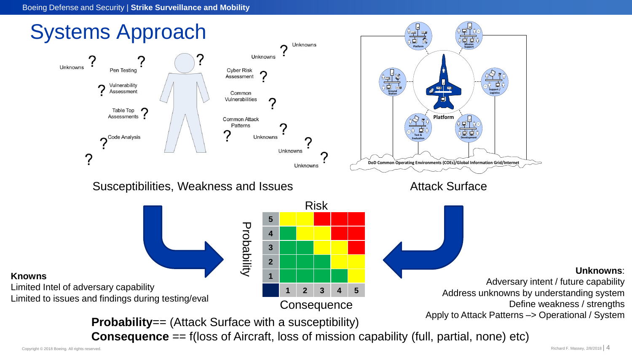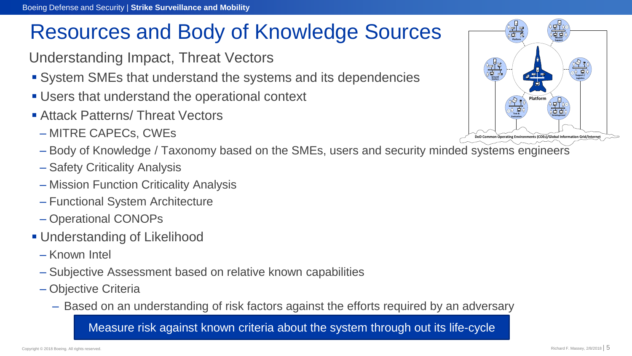### Resources and Body of Knowledge Sources

- Understanding Impact, Threat Vectors
- System SMEs that understand the systems and its dependencies
- Users that understand the operational context
- Attack Patterns/ Threat Vectors
	- MITRE CAPECs, CWEs
	- Body of Knowledge / Taxonomy based on the SMEs, users and security minded systems engineers
	- Safety Criticality Analysis
	- Mission Function Criticality Analysis
	- Functional System Architecture
	- Operational CONOPs
- **Understanding of Likelihood** 
	- Known Intel
	- Subjective Assessment based on relative known capabilities
	- Objective Criteria
		- Based on an understanding of risk factors against the efforts required by an adversary

Measure risk against known criteria about the system through out its life-cycle

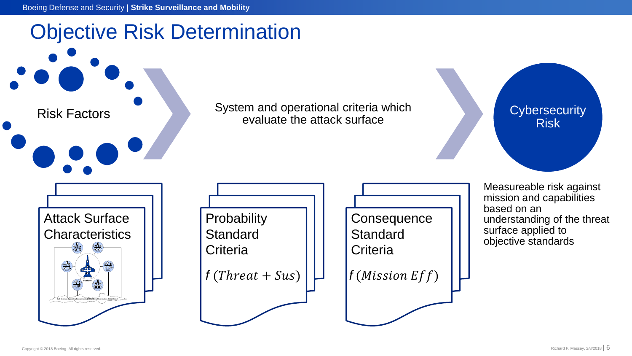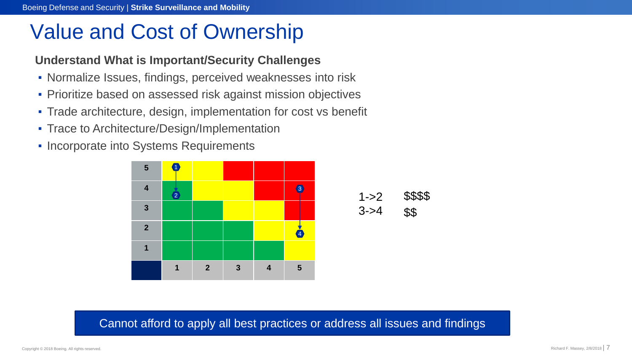#### Value and Cost of Ownership

#### **Understand What is Important/Security Challenges**

- Normalize Issues, findings, perceived weaknesses into risk
- **Prioritize based on assessed risk against mission objectives**
- Trade architecture, design, implementation for cost vs benefit
- **Trace to Architecture/Design/Implementation**
- **Incorporate into Systems Requirements**





\$\$

 $1 - 2$ 

 $3 - 54$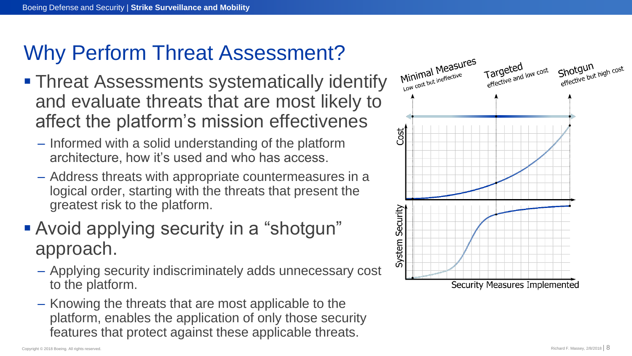### Why Perform Threat Assessment?

- **Threat Assessments systematically identify** and evaluate threats that are most likely to affect the platform's mission effectivenes
	- Informed with a solid understanding of the platform architecture, how it's used and who has access.
	- Address threats with appropriate countermeasures in a logical order, starting with the threats that present the greatest risk to the platform.
- Avoid applying security in a "shotgun" approach.
	- Applying security indiscriminately adds unnecessary cost to the platform.
	- Knowing the threats that are most applicable to the platform, enables the application of only those security features that protect against these applicable threats.

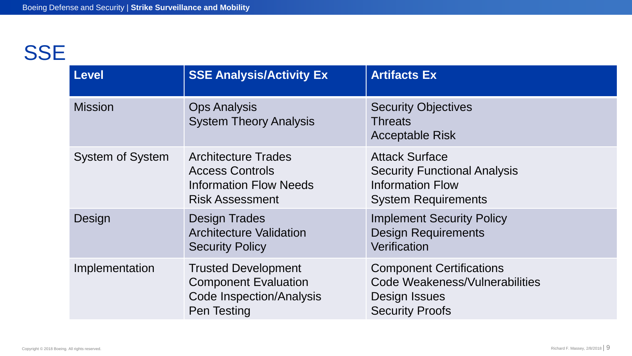### **SSE**

| Level                   | <b>SSE Analysis/Activity Ex</b>                                                                                 | <b>Artifacts Ex</b>                                                                                                   |
|-------------------------|-----------------------------------------------------------------------------------------------------------------|-----------------------------------------------------------------------------------------------------------------------|
| <b>Mission</b>          | <b>Ops Analysis</b><br><b>System Theory Analysis</b>                                                            | <b>Security Objectives</b><br><b>Threats</b><br><b>Acceptable Risk</b>                                                |
| <b>System of System</b> | <b>Architecture Trades</b><br><b>Access Controls</b><br><b>Information Flow Needs</b><br><b>Risk Assessment</b> | <b>Attack Surface</b><br><b>Security Functional Analysis</b><br><b>Information Flow</b><br><b>System Requirements</b> |
| Design                  | <b>Design Trades</b><br><b>Architecture Validation</b><br><b>Security Policy</b>                                | <b>Implement Security Policy</b><br><b>Design Requirements</b><br>Verification                                        |
| Implementation          | <b>Trusted Development</b><br><b>Component Evaluation</b><br><b>Code Inspection/Analysis</b><br>Pen Testing     | <b>Component Certifications</b><br>Code Weakeness/Vulnerabilities<br>Design Issues<br><b>Security Proofs</b>          |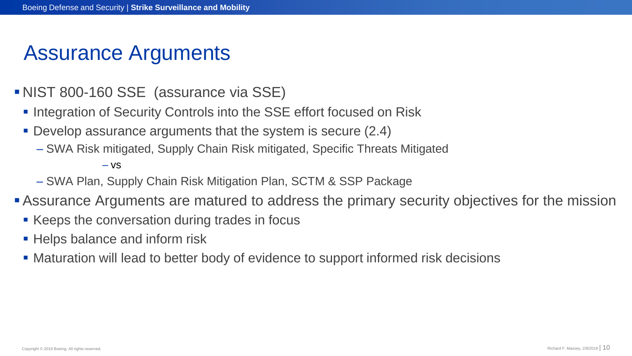#### Assurance Arguments

- NIST 800-160 SSE (assurance via SSE)
	- **.** Integration of Security Controls into the SSE effort focused on Risk
	- **Develop assurance arguments that the system is secure (2.4)** 
		- SWA Risk mitigated, Supply Chain Risk mitigated, Specific Threats Mitigated

– vs

- SWA Plan, Supply Chain Risk Mitigation Plan, SCTM & SSP Package
- **Example Arguments are matured to address the primary security objectives for the mission** 
	- Keeps the conversation during trades in focus
	- **EXTERN** Helps balance and inform risk
	- Maturation will lead to better body of evidence to support informed risk decisions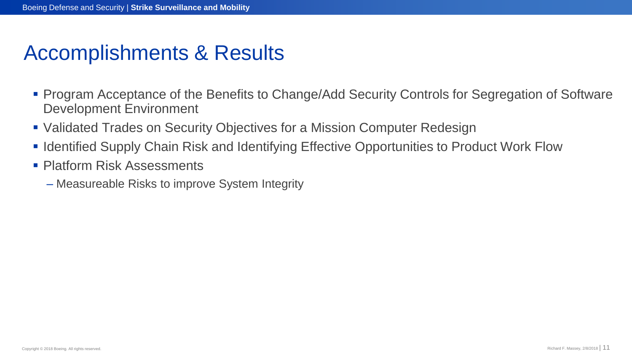#### Accomplishments & Results

- **Program Acceptance of the Benefits to Change/Add Security Controls for Segregation of Software** Development Environment
- Validated Trades on Security Objectives for a Mission Computer Redesign
- **. Identified Supply Chain Risk and Identifying Effective Opportunities to Product Work Flow**
- Platform Risk Assessments
	- Measureable Risks to improve System Integrity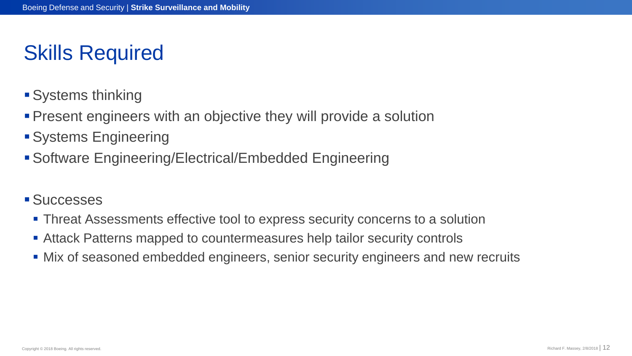### Skills Required

- **Systems thinking**
- Present engineers with an objective they will provide a solution
- ▪Systems Engineering
- ▪Software Engineering/Electrical/Embedded Engineering
- Successes
	- **Threat Assessments effective tool to express security concerns to a solution**
	- Attack Patterns mapped to countermeasures help tailor security controls
	- Mix of seasoned embedded engineers, senior security engineers and new recruits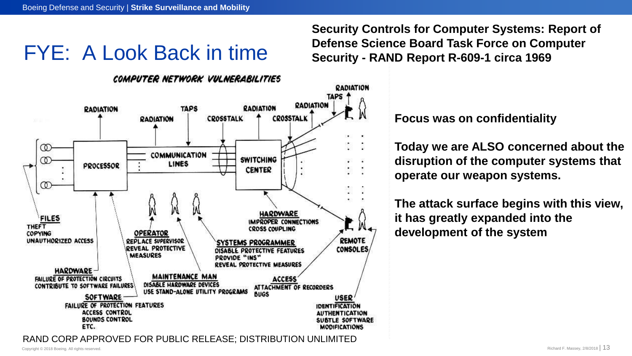#### **Security Controls for Computer Systems: Report of Defense Science Board Task Force on Computer Security - RAND Report R-609-1 circa 1969**

## FYE: A Look Back in time

#### COMPUTER NETWORK VULNERABILITIES



**Focus was on confidentiality**

**Today we are ALSO concerned about the disruption of the computer systems that operate our weapon systems.** 

**The attack surface begins with this view, it has greatly expanded into the development of the system**

RAND CORP APPROVED FOR PUBLIC RELEASE; DISTRIBUTION UNLIMITED